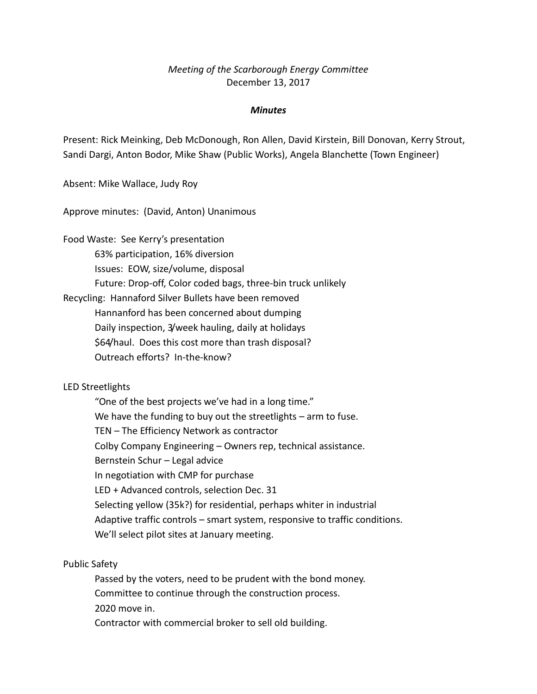# *Meeting of the Scarborough Energy Committee* December 13, 2017

#### *Minutes*

Present: Rick Meinking, Deb McDonough, Ron Allen, David Kirstein, Bill Donovan, Kerry Strout, Sandi Dargi, Anton Bodor, Mike Shaw (Public Works), Angela Blanchette (Town Engineer)

Absent: Mike Wallace, Judy Roy

Approve minutes: (David, Anton) Unanimous

Food Waste: See Kerry's presentation 63% participation, 16% diversion Issues: EOW, size/volume, disposal Future: Drop-off, Color coded bags, three-bin truck unlikely Recycling: Hannaford Silver Bullets have been removed Hannanford has been concerned about dumping

Daily inspection, 3/week hauling, daily at holidays \$64/haul. Does this cost more than trash disposal?

Outreach efforts? In-the-know?

#### LED Streetlights

"One of the best projects we've had in a long time." We have the funding to buy out the streetlights – arm to fuse. TEN – The Efficiency Network as contractor Colby Company Engineering – Owners rep, technical assistance. Bernstein Schur – Legal advice In negotiation with CMP for purchase LED + Advanced controls, selection Dec. 31 Selecting yellow (35k?) for residential, perhaps whiter in industrial Adaptive traffic controls – smart system, responsive to traffic conditions. We'll select pilot sites at January meeting.

Public Safety

Passed by the voters, need to be prudent with the bond money. Committee to continue through the construction process. 2020 move in. Contractor with commercial broker to sell old building.